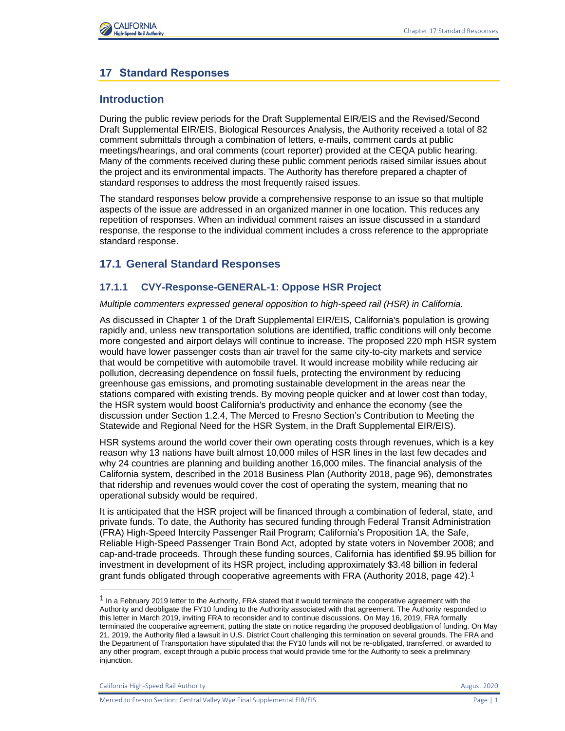

# **17 Standard Responses**

# **Introduction**

During the public review periods for the Draft Supplemental EIR/EIS and the Revised/Second Draft Supplemental EIR/EIS, Biological Resources Analysis, the Authority received a total of 82 comment submittals through a combination of letters, e-mails, comment cards at public meetings/hearings, and oral comments (court reporter) provided at the CEQA public hearing. Many of the comments received during these public comment periods raised similar issues about the project and its environmental impacts. The Authority has therefore prepared a chapter of standard responses to address the most frequently raised issues.

The standard responses below provide a comprehensive response to an issue so that multiple aspects of the issue are addressed in an organized manner in one location. This reduces any repetition of responses. When an individual comment raises an issue discussed in a standard response, the response to the individual comment includes a cross reference to the appropriate standard response.

# **17.1 General Standard Responses**

# **17.1.1 CVY-Response-GENERAL-1: Oppose HSR Project**

*Multiple commenters expressed general opposition to high-speed rail (HSR) in California.*

As discussed in Chapter 1 of the Draft Supplemental EIR/EIS, California's population is growing rapidly and, unless new transportation solutions are identified, traffic conditions will only become more congested and airport delays will continue to increase. The proposed 220 mph HSR system would have lower passenger costs than air travel for the same city-to-city markets and service that would be competitive with automobile travel. It would increase mobility while reducing air pollution, decreasing dependence on fossil fuels, protecting the environment by reducing greenhouse gas emissions, and promoting sustainable development in the areas near the stations compared with existing trends. By moving people quicker and at lower cost than today, the HSR system would boost California's productivity and enhance the economy (see the discussion under Section 1.2.4, The Merced to Fresno Section's Contribution to Meeting the Statewide and Regional Need for the HSR System, in the Draft Supplemental EIR/EIS).

HSR systems around the world cover their own operating costs through revenues, which is a key reason why 13 nations have built almost 10,000 miles of HSR lines in the last few decades and why 24 countries are planning and building another 16,000 miles. The financial analysis of the California system, described in the 2018 Business Plan (Authority 2018, page 96), demonstrates that ridership and revenues would cover the cost of operating the system, meaning that no operational subsidy would be required.

It is anticipated that the HSR project will be financed through a combination of federal, state, and private funds. To date, the Authority has secured funding through Federal Transit Administration (FRA) High-Speed Intercity Passenger Rail Program; California's Proposition 1A, the Safe, Reliable High-Speed Passenger Train Bond Act, adopted by state voters in November 2008; and cap-and-trade proceeds. Through these funding sources, California has identified \$9.95 billion for investment in development of its HSR project, including approximately \$3.48 billion in federal grant funds obligated through cooperative agreements with FRA (Authority 2018, page 42).<sup>1</sup>

<sup>&</sup>lt;sup>1</sup> In a February 2019 letter to the Authority, FRA stated that it would terminate the cooperative agreement with the Authority and deobligate the FY10 funding to the Authority associated with that agreement. The Authority responded to this letter in March 2019, inviting FRA to reconsider and to continue discussions. On May 16, 2019, FRA formally terminated the cooperative agreement, putting the state on notice regarding the proposed deobligation of funding. On May 21, 2019, the Authority filed a lawsuit in U.S. District Court challenging this termination on several grounds. The FRA and the Department of Transportation have stipulated that the FY10 funds will not be re-obligated, transferred, or awarded to any other program, except through a public process that would provide time for the Authority to seek a preliminary injunction.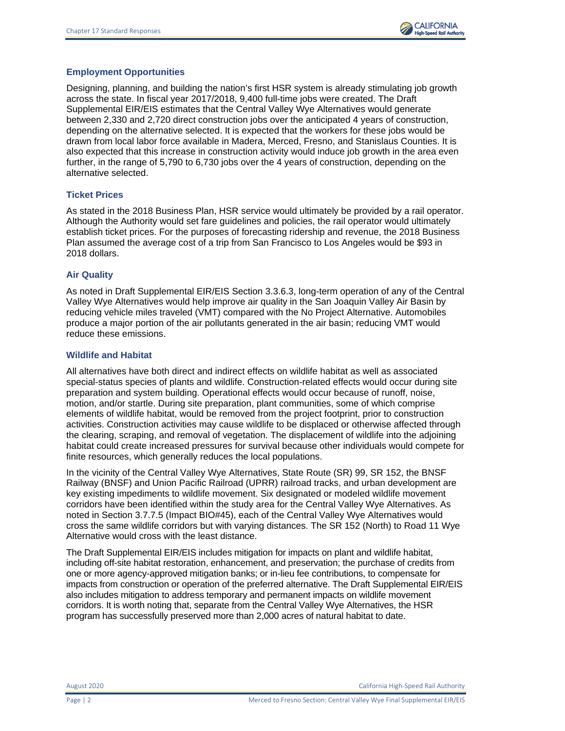

#### **Employment Opportunities**

Designing, planning, and building the nation's first HSR system is already stimulating job growth across the state. In fiscal year 2017/2018, 9,400 full-time jobs were created. The Draft Supplemental EIR/EIS estimates that the Central Valley Wye Alternatives would generate between 2,330 and 2,720 direct construction jobs over the anticipated 4 years of construction, depending on the alternative selected. It is expected that the workers for these jobs would be drawn from local labor force available in Madera, Merced, Fresno, and Stanislaus Counties. It is also expected that this increase in construction activity would induce job growth in the area even further, in the range of 5,790 to 6,730 jobs over the 4 years of construction, depending on the alternative selected.

#### **Ticket Prices**

As stated in the 2018 Business Plan, HSR service would ultimately be provided by a rail operator. Although the Authority would set fare guidelines and policies, the rail operator would ultimately establish ticket prices. For the purposes of forecasting ridership and revenue, the 2018 Business Plan assumed the average cost of a trip from San Francisco to Los Angeles would be \$93 in 2018 dollars.

#### **Air Quality**

As noted in Draft Supplemental EIR/EIS Section 3.3.6.3, long-term operation of any of the Central Valley Wye Alternatives would help improve air quality in the San Joaquin Valley Air Basin by reducing vehicle miles traveled (VMT) compared with the No Project Alternative. Automobiles produce a major portion of the air pollutants generated in the air basin; reducing VMT would reduce these emissions.

#### **Wildlife and Habitat**

All alternatives have both direct and indirect effects on wildlife habitat as well as associated special-status species of plants and wildlife. Construction-related effects would occur during site preparation and system building. Operational effects would occur because of runoff, noise, motion, and/or startle. During site preparation, plant communities, some of which comprise elements of wildlife habitat, would be removed from the project footprint, prior to construction activities. Construction activities may cause wildlife to be displaced or otherwise affected through the clearing, scraping, and removal of vegetation. The displacement of wildlife into the adjoining habitat could create increased pressures for survival because other individuals would compete for finite resources, which generally reduces the local populations.

In the vicinity of the Central Valley Wye Alternatives, State Route (SR) 99, SR 152, the BNSF Railway (BNSF) and Union Pacific Railroad (UPRR) railroad tracks, and urban development are key existing impediments to wildlife movement. Six designated or modeled wildlife movement corridors have been identified within the study area for the Central Valley Wye Alternatives. As noted in Section 3.7.7.5 (Impact BIO#45), each of the Central Valley Wye Alternatives would cross the same wildlife corridors but with varying distances. The SR 152 (North) to Road 11 Wye Alternative would cross with the least distance.

The Draft Supplemental EIR/EIS includes mitigation for impacts on plant and wildlife habitat, including off-site habitat restoration, enhancement, and preservation; the purchase of credits from one or more agency-approved mitigation banks; or in-lieu fee contributions, to compensate for impacts from construction or operation of the preferred alternative. The Draft Supplemental EIR/EIS also includes mitigation to address temporary and permanent impacts on wildlife movement corridors. It is worth noting that, separate from the Central Valley Wye Alternatives, the HSR program has successfully preserved more than 2,000 acres of natural habitat to date.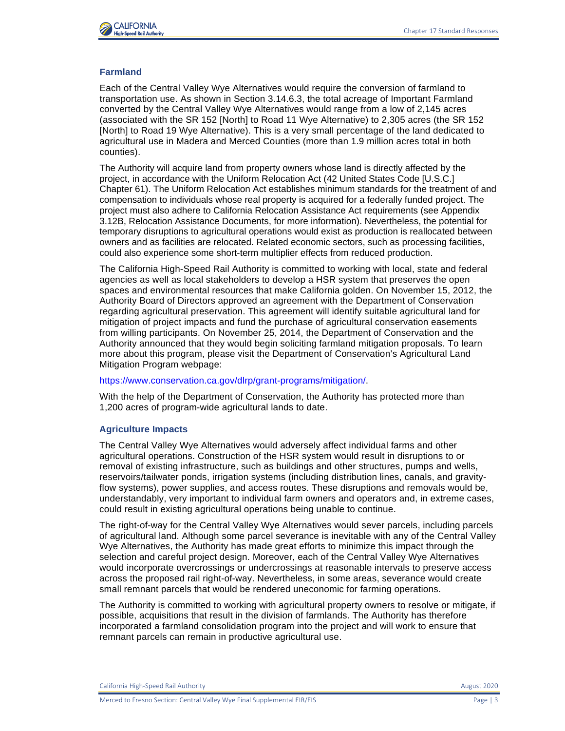

### **Farmland**

Each of the Central Valley Wye Alternatives would require the conversion of farmland to transportation use. As shown in Section 3.14.6.3, the total acreage of Important Farmland converted by the Central Valley Wye Alternatives would range from a low of 2,145 acres (associated with the SR 152 [North] to Road 11 Wye Alternative) to 2,305 acres (the SR 152 [North] to Road 19 Wye Alternative). This is a very small percentage of the land dedicated to agricultural use in Madera and Merced Counties (more than 1.9 million acres total in both counties).

The Authority will acquire land from property owners whose land is directly affected by the project, in accordance with the Uniform Relocation Act (42 United States Code [U.S.C.] Chapter 61). The Uniform Relocation Act establishes minimum standards for the treatment of and compensation to individuals whose real property is acquired for a federally funded project. The project must also adhere to California Relocation Assistance Act requirements (see Appendix 3.12B, Relocation Assistance Documents, for more information). Nevertheless, the potential for temporary disruptions to agricultural operations would exist as production is reallocated between owners and as facilities are relocated. Related economic sectors, such as processing facilities, could also experience some short-term multiplier effects from reduced production.

The California High-Speed Rail Authority is committed to working with local, state and federal agencies as well as local stakeholders to develop a HSR system that preserves the open spaces and environmental resources that make California golden. On November 15, 2012, the Authority Board of Directors approved an agreement with the Department of Conservation regarding agricultural preservation. This agreement will identify suitable agricultural land for mitigation of project impacts and fund the purchase of agricultural conservation easements from willing participants. On November 25, 2014, the Department of Conservation and the Authority announced that they would begin soliciting farmland mitigation proposals. To learn more about this program, please visit the Department of Conservation's Agricultural Land Mitigation Program webpage:

#### [https://www.conservation.ca.gov/dlrp/grant-programs/mitigation/.](https://www.conservation.ca.gov/dlrp/grant-programs/mitigation/)

With the help of the Department of Conservation, the Authority has protected more than 1,200 acres of program-wide agricultural lands to date.

#### **Agriculture Impacts**

The Central Valley Wye Alternatives would adversely affect individual farms and other agricultural operations. Construction of the HSR system would result in disruptions to or removal of existing infrastructure, such as buildings and other structures, pumps and wells, reservoirs/tailwater ponds, irrigation systems (including distribution lines, canals, and gravityflow systems), power supplies, and access routes. These disruptions and removals would be, understandably, very important to individual farm owners and operators and, in extreme cases, could result in existing agricultural operations being unable to continue.

The right-of-way for the Central Valley Wye Alternatives would sever parcels, including parcels of agricultural land. Although some parcel severance is inevitable with any of the Central Valley Wye Alternatives, the Authority has made great efforts to minimize this impact through the selection and careful project design. Moreover, each of the Central Valley Wye Alternatives would incorporate overcrossings or undercrossings at reasonable intervals to preserve access across the proposed rail right-of-way. Nevertheless, in some areas, severance would create small remnant parcels that would be rendered uneconomic for farming operations.

The Authority is committed to working with agricultural property owners to resolve or mitigate, if possible, acquisitions that result in the division of farmlands. The Authority has therefore incorporated a farmland consolidation program into the project and will work to ensure that remnant parcels can remain in productive agricultural use.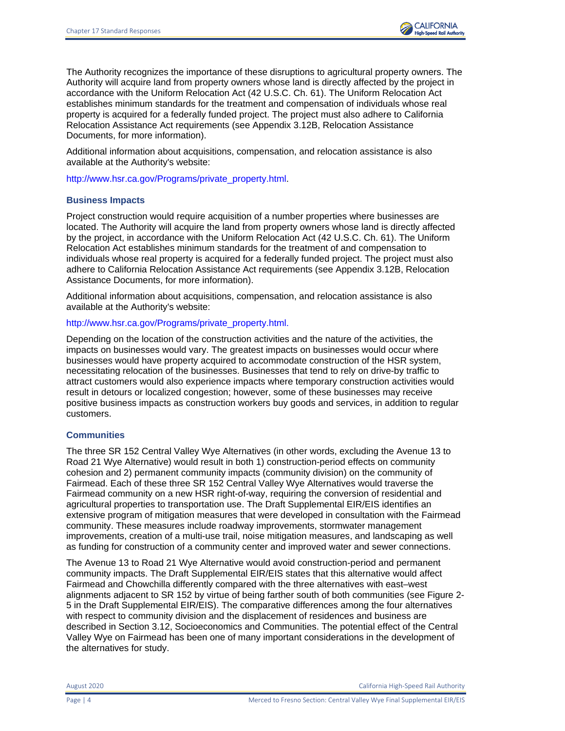The Authority recognizes the importance of these disruptions to agricultural property owners. The Authority will acquire land from property owners whose land is directly affected by the project in accordance with the Uniform Relocation Act (42 U.S.C. Ch. 61). The Uniform Relocation Act establishes minimum standards for the treatment and compensation of individuals whose real property is acquired for a federally funded project. The project must also adhere to California Relocation Assistance Act requirements (see Appendix 3.12B, Relocation Assistance Documents, for more information).

Additional information about acquisitions, compensation, and relocation assistance is also available at the Authority's website:

[http://www.hsr.ca.gov/Programs/private\\_property.html.](http://www.hsr.ca.gov/Programs/private_property.html)

#### **Business Impacts**

Project construction would require acquisition of a number properties where businesses are located. The Authority will acquire the land from property owners whose land is directly affected by the project, in accordance with the Uniform Relocation Act (42 U.S.C. Ch. 61). The Uniform Relocation Act establishes minimum standards for the treatment of and compensation to individuals whose real property is acquired for a federally funded project. The project must also adhere to California Relocation Assistance Act requirements (see Appendix 3.12B, Relocation Assistance Documents, for more information).

Additional information about acquisitions, compensation, and relocation assistance is also available at the Authority's website:

### [http://www.hsr.ca.gov/Programs/private\\_property.html.](http://www.hsr.ca.gov/Programs/private_property.html)

Depending on the location of the construction activities and the nature of the activities, the impacts on businesses would vary. The greatest impacts on businesses would occur where businesses would have property acquired to accommodate construction of the HSR system, necessitating relocation of the businesses. Businesses that tend to rely on drive-by traffic to attract customers would also experience impacts where temporary construction activities would result in detours or localized congestion; however, some of these businesses may receive positive business impacts as construction workers buy goods and services, in addition to regular customers.

#### **Communities**

The three SR 152 Central Valley Wye Alternatives (in other words, excluding the Avenue 13 to Road 21 Wye Alternative) would result in both 1) construction-period effects on community cohesion and 2) permanent community impacts (community division) on the community of Fairmead. Each of these three SR 152 Central Valley Wye Alternatives would traverse the Fairmead community on a new HSR right-of-way, requiring the conversion of residential and agricultural properties to transportation use. The Draft Supplemental EIR/EIS identifies an extensive program of mitigation measures that were developed in consultation with the Fairmead community. These measures include roadway improvements, stormwater management improvements, creation of a multi-use trail, noise mitigation measures, and landscaping as well as funding for construction of a community center and improved water and sewer connections.

The Avenue 13 to Road 21 Wye Alternative would avoid construction-period and permanent community impacts. The Draft Supplemental EIR/EIS states that this alternative would affect Fairmead and Chowchilla differently compared with the three alternatives with east–west alignments adjacent to SR 152 by virtue of being farther south of both communities (see Figure 2- 5 in the Draft Supplemental EIR/EIS). The comparative differences among the four alternatives with respect to community division and the displacement of residences and business are described in Section 3.12, Socioeconomics and Communities. The potential effect of the Central Valley Wye on Fairmead has been one of many important considerations in the development of the alternatives for study.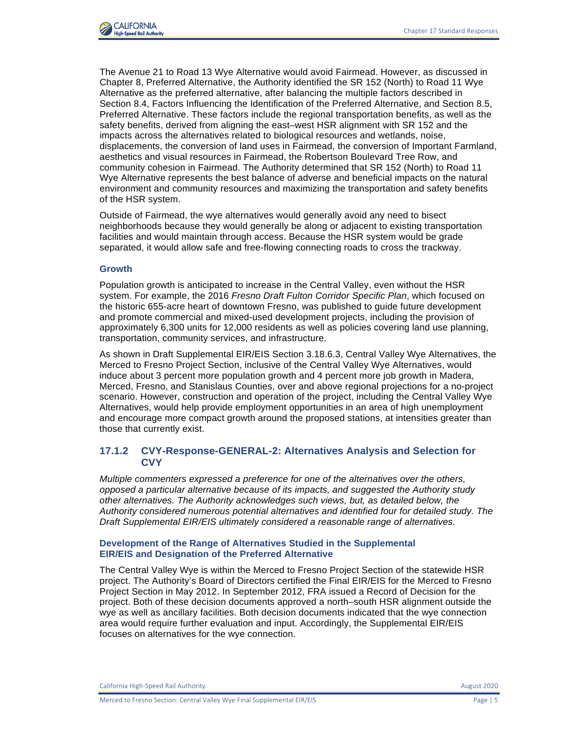

The Avenue 21 to Road 13 Wye Alternative would avoid Fairmead. However, as discussed in Chapter 8, Preferred Alternative, the Authority identified the SR 152 (North) to Road 11 Wye Alternative as the preferred alternative, after balancing the multiple factors described in Section 8.4, Factors Influencing the Identification of the Preferred Alternative, and Section 8.5, Preferred Alternative. These factors include the regional transportation benefits, as well as the safety benefits, derived from aligning the east–west HSR alignment with SR 152 and the impacts across the alternatives related to biological resources and wetlands, noise, displacements, the conversion of land uses in Fairmead, the conversion of Important Farmland, aesthetics and visual resources in Fairmead, the Robertson Boulevard Tree Row, and community cohesion in Fairmead. The Authority determined that SR 152 (North) to Road 11 Wye Alternative represents the best balance of adverse and beneficial impacts on the natural environment and community resources and maximizing the transportation and safety benefits of the HSR system.

Outside of Fairmead, the wye alternatives would generally avoid any need to bisect neighborhoods because they would generally be along or adjacent to existing transportation facilities and would maintain through access. Because the HSR system would be grade separated, it would allow safe and free-flowing connecting roads to cross the trackway.

#### **Growth**

Population growth is anticipated to increase in the Central Valley, even without the HSR system. For example, the 2016 *Fresno Draft Fulton Corridor Specific Plan*, which focused on the historic 655-acre heart of downtown Fresno, was published to guide future development and promote commercial and mixed-used development projects, including the provision of approximately 6,300 units for 12,000 residents as well as policies covering land use planning, transportation, community services, and infrastructure.

As shown in Draft Supplemental EIR/EIS Section 3.18.6.3, Central Valley Wye Alternatives, the Merced to Fresno Project Section, inclusive of the Central Valley Wye Alternatives, would induce about 3 percent more population growth and 4 percent more job growth in Madera, Merced, Fresno, and Stanislaus Counties, over and above regional projections for a no-project scenario. However, construction and operation of the project, including the Central Valley Wye Alternatives, would help provide employment opportunities in an area of high unemployment and encourage more compact growth around the proposed stations, at intensities greater than those that currently exist.

### **17.1.2 CVY-Response-GENERAL-2: Alternatives Analysis and Selection for CVY**

*Multiple commenters expressed a preference for one of the alternatives over the others, opposed a particular alternative because of its impacts, and suggested the Authority study other alternatives. The Authority acknowledges such views, but, as detailed below, the Authority considered numerous potential alternatives and identified four for detailed study. The Draft Supplemental EIR/EIS ultimately considered a reasonable range of alternatives.*

#### **Development of the Range of Alternatives Studied in the Supplemental EIR/EIS and Designation of the Preferred Alternative**

The Central Valley Wye is within the Merced to Fresno Project Section of the statewide HSR project. The Authority's Board of Directors certified the Final EIR/EIS for the Merced to Fresno Project Section in May 2012. In September 2012, FRA issued a Record of Decision for the project. Both of these decision documents approved a north–south HSR alignment outside the wye as well as ancillary facilities. Both decision documents indicated that the wye connection area would require further evaluation and input. Accordingly, the Supplemental EIR/EIS focuses on alternatives for the wye connection.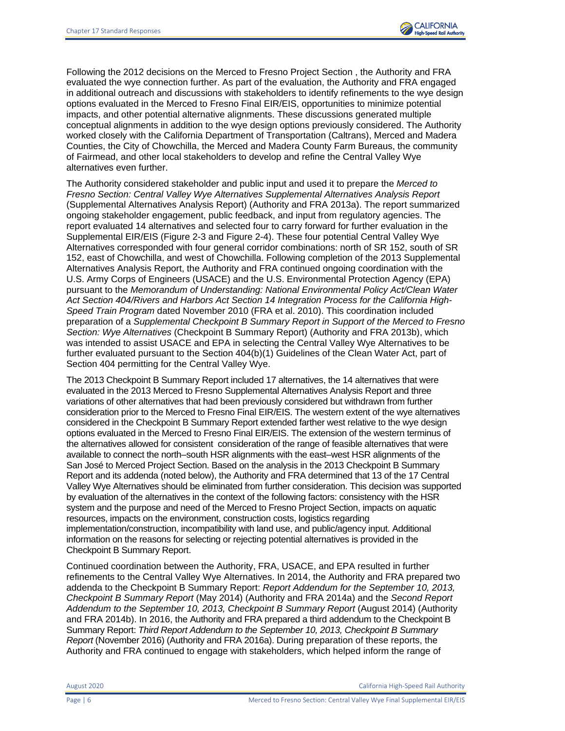

Following the 2012 decisions on the Merced to Fresno Project Section , the Authority and FRA evaluated the wye connection further. As part of the evaluation, the Authority and FRA engaged in additional outreach and discussions with stakeholders to identify refinements to the wye design options evaluated in the Merced to Fresno Final EIR/EIS, opportunities to minimize potential impacts, and other potential alternative alignments. These discussions generated multiple conceptual alignments in addition to the wye design options previously considered. The Authority worked closely with the California Department of Transportation (Caltrans), Merced and Madera Counties, the City of Chowchilla, the Merced and Madera County Farm Bureaus, the community of Fairmead, and other local stakeholders to develop and refine the Central Valley Wye alternatives even further.

The Authority considered stakeholder and public input and used it to prepare the *Merced to Fresno Section: Central Valley Wye Alternatives Supplemental Alternatives Analysis Report* (Supplemental Alternatives Analysis Report) (Authority and FRA 2013a). The report summarized ongoing stakeholder engagement, public feedback, and input from regulatory agencies. The report evaluated 14 alternatives and selected four to carry forward for further evaluation in the Supplemental EIR/EIS (Figure 2-3 and Figure 2-4). These four potential Central Valley Wye Alternatives corresponded with four general corridor combinations: north of SR 152, south of SR 152, east of Chowchilla, and west of Chowchilla. Following completion of the 2013 Supplemental Alternatives Analysis Report, the Authority and FRA continued ongoing coordination with the U.S. Army Corps of Engineers (USACE) and the U.S. Environmental Protection Agency (EPA) pursuant to the *Memorandum of Understanding: National Environmental Policy Act/Clean Water Act Section 404/Rivers and Harbors Act Section 14 Integration Process for the California High-Speed Train Program* dated November 2010 (FRA et al. 2010). This coordination included preparation of a *Supplemental Checkpoint B Summary Report in Support of the Merced to Fresno Section: Wye Alternatives* (Checkpoint B Summary Report) (Authority and FRA 2013b), which was intended to assist USACE and EPA in selecting the Central Valley Wye Alternatives to be further evaluated pursuant to the Section 404(b)(1) Guidelines of the Clean Water Act, part of Section 404 permitting for the Central Valley Wye.

The 2013 Checkpoint B Summary Report included 17 alternatives, the 14 alternatives that were evaluated in the 2013 Merced to Fresno Supplemental Alternatives Analysis Report and three variations of other alternatives that had been previously considered but withdrawn from further consideration prior to the Merced to Fresno Final EIR/EIS. The western extent of the wye alternatives considered in the Checkpoint B Summary Report extended farther west relative to the wye design options evaluated in the Merced to Fresno Final EIR/EIS. The extension of the western terminus of the alternatives allowed for consistent consideration of the range of feasible alternatives that were available to connect the north–south HSR alignments with the east–west HSR alignments of the San José to Merced Project Section. Based on the analysis in the 2013 Checkpoint B Summary Report and its addenda (noted below), the Authority and FRA determined that 13 of the 17 Central Valley Wye Alternatives should be eliminated from further consideration. This decision was supported by evaluation of the alternatives in the context of the following factors: consistency with the HSR system and the purpose and need of the Merced to Fresno Project Section, impacts on aquatic resources, impacts on the environment, construction costs, logistics regarding implementation/construction, incompatibility with land use, and public/agency input. Additional information on the reasons for selecting or rejecting potential alternatives is provided in the Checkpoint B Summary Report.

Continued coordination between the Authority, FRA, USACE, and EPA resulted in further refinements to the Central Valley Wye Alternatives. In 2014, the Authority and FRA prepared two addenda to the Checkpoint B Summary Report: *Report Addendum for the September 10, 2013, Checkpoint B Summary Report* (May 2014) (Authority and FRA 2014a) and the *Second Report Addendum to the September 10, 2013, Checkpoint B Summary Report* (August 2014) (Authority and FRA 2014b). In 2016, the Authority and FRA prepared a third addendum to the Checkpoint B Summary Report: *Third Report Addendum to the September 10, 2013, Checkpoint B Summary Report* (November 2016) (Authority and FRA 2016a). During preparation of these reports, the Authority and FRA continued to engage with stakeholders, which helped inform the range of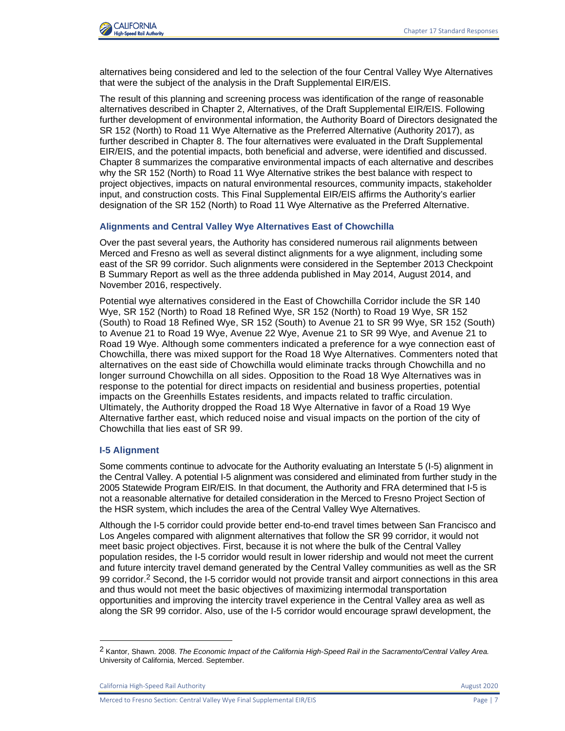

alternatives being considered and led to the selection of the four Central Valley Wye Alternatives that were the subject of the analysis in the Draft Supplemental EIR/EIS.

The result of this planning and screening process was identification of the range of reasonable alternatives described in Chapter 2, Alternatives, of the Draft Supplemental EIR/EIS. Following further development of environmental information, the Authority Board of Directors designated the SR 152 (North) to Road 11 Wye Alternative as the Preferred Alternative (Authority 2017), as further described in Chapter 8. The four alternatives were evaluated in the Draft Supplemental EIR/EIS, and the potential impacts, both beneficial and adverse, were identified and discussed. Chapter 8 summarizes the comparative environmental impacts of each alternative and describes why the SR 152 (North) to Road 11 Wye Alternative strikes the best balance with respect to project objectives, impacts on natural environmental resources, community impacts, stakeholder input, and construction costs. This Final Supplemental EIR/EIS affirms the Authority's earlier designation of the SR 152 (North) to Road 11 Wye Alternative as the Preferred Alternative.

#### **Alignments and Central Valley Wye Alternatives East of Chowchilla**

Over the past several years, the Authority has considered numerous rail alignments between Merced and Fresno as well as several distinct alignments for a wye alignment, including some east of the SR 99 corridor. Such alignments were considered in the September 2013 Checkpoint B Summary Report as well as the three addenda published in May 2014, August 2014, and November 2016, respectively.

Potential wye alternatives considered in the East of Chowchilla Corridor include the SR 140 Wye, SR 152 (North) to Road 18 Refined Wye, SR 152 (North) to Road 19 Wye, SR 152 (South) to Road 18 Refined Wye, SR 152 (South) to Avenue 21 to SR 99 Wye, SR 152 (South) to Avenue 21 to Road 19 Wye, Avenue 22 Wye, Avenue 21 to SR 99 Wye, and Avenue 21 to Road 19 Wye. Although some commenters indicated a preference for a wye connection east of Chowchilla, there was mixed support for the Road 18 Wye Alternatives. Commenters noted that alternatives on the east side of Chowchilla would eliminate tracks through Chowchilla and no longer surround Chowchilla on all sides. Opposition to the Road 18 Wye Alternatives was in response to the potential for direct impacts on residential and business properties, potential impacts on the Greenhills Estates residents, and impacts related to traffic circulation. Ultimately, the Authority dropped the Road 18 Wye Alternative in favor of a Road 19 Wye Alternative farther east, which reduced noise and visual impacts on the portion of the city of Chowchilla that lies east of SR 99.

#### **I-5 Alignment**

Some comments continue to advocate for the Authority evaluating an Interstate 5 (I-5) alignment in the Central Valley. A potential I-5 alignment was considered and eliminated from further study in the 2005 Statewide Program EIR/EIS. In that document, the Authority and FRA determined that I-5 is not a reasonable alternative for detailed consideration in the Merced to Fresno Project Section of the HSR system, which includes the area of the Central Valley Wye Alternatives.

Although the I-5 corridor could provide better end-to-end travel times between San Francisco and Los Angeles compared with alignment alternatives that follow the SR 99 corridor, it would not meet basic project objectives. First, because it is not where the bulk of the Central Valley population resides, the I-5 corridor would result in lower ridership and would not meet the current and future intercity travel demand generated by the Central Valley communities as well as the SR 99 corridor.<sup>2</sup> Second, the I-5 corridor would not provide transit and airport connections in this area and thus would not meet the basic objectives of maximizing intermodal transportation opportunities and improving the intercity travel experience in the Central Valley area as well as along the SR 99 corridor. Also, use of the I-5 corridor would encourage sprawl development, the

<sup>2</sup> Kantor, Shawn. 2008. *The Economic Impact of the California High-Speed Rail in the Sacramento/Central Valley Area.* University of California, Merced. September.

California High-Speed Rail Authority **August 2020 August 2020**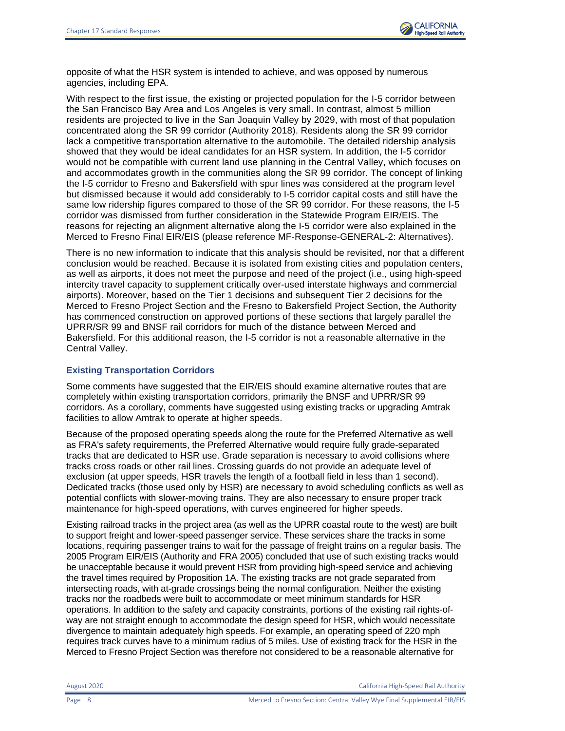

opposite of what the HSR system is intended to achieve, and was opposed by numerous agencies, including EPA.

With respect to the first issue, the existing or projected population for the I-5 corridor between the San Francisco Bay Area and Los Angeles is very small. In contrast, almost 5 million residents are projected to live in the San Joaquin Valley by 2029, with most of that population concentrated along the SR 99 corridor (Authority 2018). Residents along the SR 99 corridor lack a competitive transportation alternative to the automobile. The detailed ridership analysis showed that they would be ideal candidates for an HSR system. In addition, the I-5 corridor would not be compatible with current land use planning in the Central Valley, which focuses on and accommodates growth in the communities along the SR 99 corridor. The concept of linking the I-5 corridor to Fresno and Bakersfield with spur lines was considered at the program level but dismissed because it would add considerably to I-5 corridor capital costs and still have the same low ridership figures compared to those of the SR 99 corridor. For these reasons, the I-5 corridor was dismissed from further consideration in the Statewide Program EIR/EIS. The reasons for rejecting an alignment alternative along the I-5 corridor were also explained in the Merced to Fresno Final EIR/EIS (please reference MF-Response-GENERAL-2: Alternatives).

There is no new information to indicate that this analysis should be revisited, nor that a different conclusion would be reached. Because it is isolated from existing cities and population centers, as well as airports, it does not meet the purpose and need of the project (i.e., using high-speed intercity travel capacity to supplement critically over-used interstate highways and commercial airports). Moreover, based on the Tier 1 decisions and subsequent Tier 2 decisions for the Merced to Fresno Project Section and the Fresno to Bakersfield Project Section, the Authority has commenced construction on approved portions of these sections that largely parallel the UPRR/SR 99 and BNSF rail corridors for much of the distance between Merced and Bakersfield. For this additional reason, the I-5 corridor is not a reasonable alternative in the Central Valley.

### **Existing Transportation Corridors**

Some comments have suggested that the EIR/EIS should examine alternative routes that are completely within existing transportation corridors, primarily the BNSF and UPRR/SR 99 corridors. As a corollary, comments have suggested using existing tracks or upgrading Amtrak facilities to allow Amtrak to operate at higher speeds.

Because of the proposed operating speeds along the route for the Preferred Alternative as well as FRA's safety requirements, the Preferred Alternative would require fully grade-separated tracks that are dedicated to HSR use. Grade separation is necessary to avoid collisions where tracks cross roads or other rail lines. Crossing guards do not provide an adequate level of exclusion (at upper speeds, HSR travels the length of a football field in less than 1 second). Dedicated tracks (those used only by HSR) are necessary to avoid scheduling conflicts as well as potential conflicts with slower-moving trains. They are also necessary to ensure proper track maintenance for high-speed operations, with curves engineered for higher speeds.

Existing railroad tracks in the project area (as well as the UPRR coastal route to the west) are built to support freight and lower-speed passenger service. These services share the tracks in some locations, requiring passenger trains to wait for the passage of freight trains on a regular basis. The 2005 Program EIR/EIS (Authority and FRA 2005) concluded that use of such existing tracks would be unacceptable because it would prevent HSR from providing high-speed service and achieving the travel times required by Proposition 1A. The existing tracks are not grade separated from intersecting roads, with at-grade crossings being the normal configuration. Neither the existing tracks nor the roadbeds were built to accommodate or meet minimum standards for HSR operations. In addition to the safety and capacity constraints, portions of the existing rail rights-ofway are not straight enough to accommodate the design speed for HSR, which would necessitate divergence to maintain adequately high speeds. For example, an operating speed of 220 mph requires track curves have to a minimum radius of 5 miles. Use of existing track for the HSR in the Merced to Fresno Project Section was therefore not considered to be a reasonable alternative for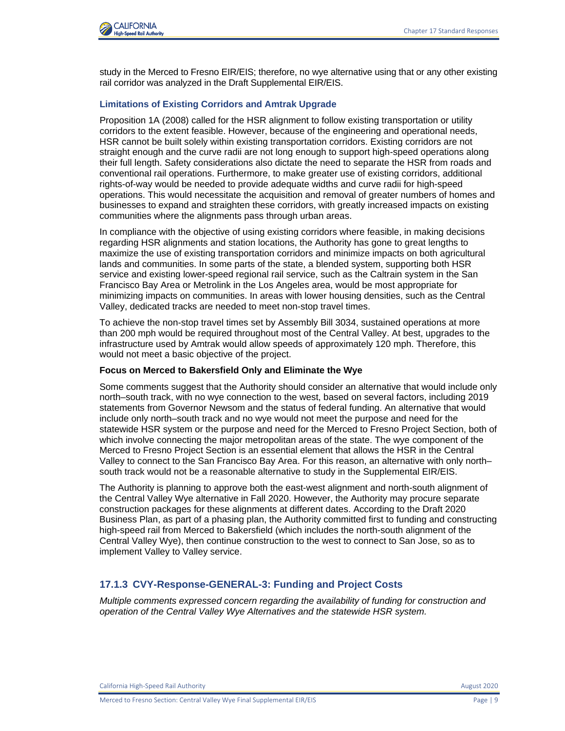

study in the Merced to Fresno EIR/EIS; therefore, no wye alternative using that or any other existing rail corridor was analyzed in the Draft Supplemental EIR/EIS.

#### **Limitations of Existing Corridors and Amtrak Upgrade**

Proposition 1A (2008) called for the HSR alignment to follow existing transportation or utility corridors to the extent feasible. However, because of the engineering and operational needs, HSR cannot be built solely within existing transportation corridors. Existing corridors are not straight enough and the curve radii are not long enough to support high-speed operations along their full length. Safety considerations also dictate the need to separate the HSR from roads and conventional rail operations. Furthermore, to make greater use of existing corridors, additional rights-of-way would be needed to provide adequate widths and curve radii for high-speed operations. This would necessitate the acquisition and removal of greater numbers of homes and businesses to expand and straighten these corridors, with greatly increased impacts on existing communities where the alignments pass through urban areas.

In compliance with the objective of using existing corridors where feasible, in making decisions regarding HSR alignments and station locations, the Authority has gone to great lengths to maximize the use of existing transportation corridors and minimize impacts on both agricultural lands and communities. In some parts of the state, a blended system, supporting both HSR service and existing lower-speed regional rail service, such as the Caltrain system in the San Francisco Bay Area or Metrolink in the Los Angeles area, would be most appropriate for minimizing impacts on communities. In areas with lower housing densities, such as the Central Valley, dedicated tracks are needed to meet non-stop travel times.

To achieve the non-stop travel times set by Assembly Bill 3034, sustained operations at more than 200 mph would be required throughout most of the Central Valley. At best, upgrades to the infrastructure used by Amtrak would allow speeds of approximately 120 mph. Therefore, this would not meet a basic objective of the project.

#### **Focus on Merced to Bakersfield Only and Eliminate the Wye**

Some comments suggest that the Authority should consider an alternative that would include only north–south track, with no wye connection to the west, based on several factors, including 2019 statements from Governor Newsom and the status of federal funding. An alternative that would include only north–south track and no wye would not meet the purpose and need for the statewide HSR system or the purpose and need for the Merced to Fresno Project Section, both of which involve connecting the major metropolitan areas of the state. The wye component of the Merced to Fresno Project Section is an essential element that allows the HSR in the Central Valley to connect to the San Francisco Bay Area. For this reason, an alternative with only north– south track would not be a reasonable alternative to study in the Supplemental EIR/EIS.

The Authority is planning to approve both the east-west alignment and north-south alignment of the Central Valley Wye alternative in Fall 2020. However, the Authority may procure separate construction packages for these alignments at different dates. According to the Draft 2020 Business Plan, as part of a phasing plan, the Authority committed first to funding and constructing high-speed rail from Merced to Bakersfield (which includes the north-south alignment of the Central Valley Wye), then continue construction to the west to connect to San Jose, so as to implement Valley to Valley service.

#### **17.1.3 CVY-Response-GENERAL-3: Funding and Project Costs**

*Multiple comments expressed concern regarding the availability of funding for construction and operation of the Central Valley Wye Alternatives and the statewide HSR system.*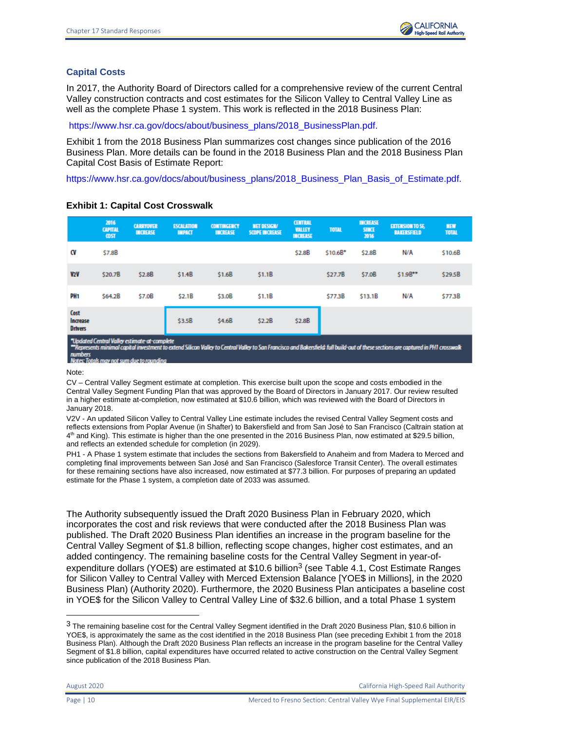# **Capital Costs**

In 2017, the Authority Board of Directors called for a comprehensive review of the current Central Valley construction contracts and cost estimates for the Silicon Valley to Central Valley Line as well as the complete Phase 1 system. This work is reflected in the 2018 Business Plan:

[https://www.hsr.ca.gov/docs/about/business\\_plans/2018\\_BusinessPlan.pdf.](https://www.hsr.ca.gov/docs/about/business_plans/2018_BusinessPlan.pdf)

Exhibit 1 from the 2018 Business Plan summarizes cost changes since publication of the 2016 Business Plan. More details can be found in the 2018 Business Plan and the 2018 Business Plan Capital Cost Basis of Estimate Report:

[https://www.hsr.ca.gov/docs/about/business\\_plans/2018\\_Business\\_Plan\\_Basis\\_of\\_Estimate.pdf.](https://www.hsr.ca.gov/docs/about/business_plans/2018_Business_Plan_Basis_of_Estimate.pdf)

|                                                                                                                                                                                                                                                                                                   | 2016<br><b>CAPITAL</b><br><b>COST</b> | <b>CARRYOVER</b><br><b>INCREASE</b> | <b>ESCALATION</b><br><b>IMPACT</b> | <b>CONTINGENCY</b><br><b>INCREASE</b> | <b>NET DESIGN/</b><br><b>SCOPE INCREASE</b> | <b>CENTRAL</b><br><b>VALLEY</b><br><b>INCREASE</b> | <b>TOTAL</b> | <b>INCREASE</b><br><b>SINCE</b><br>2016 | <b>EXTENSION TO SE,</b><br><b>BAKERSFIELD</b> | <b>NEW</b><br><b>TOTAL</b> |
|---------------------------------------------------------------------------------------------------------------------------------------------------------------------------------------------------------------------------------------------------------------------------------------------------|---------------------------------------|-------------------------------------|------------------------------------|---------------------------------------|---------------------------------------------|----------------------------------------------------|--------------|-----------------------------------------|-----------------------------------------------|----------------------------|
| W                                                                                                                                                                                                                                                                                                 | \$7.8B                                |                                     |                                    |                                       |                                             | \$2.8B                                             | \$10.6B*     | \$2.8B                                  | N/A                                           | \$10.68                    |
| V2V                                                                                                                                                                                                                                                                                               | \$20.7B                               | \$2.8B                              | \$1.4B                             | \$1.6B                                | \$1.1B                                      |                                                    | \$27.7B      | \$7.0B                                  | $$1.9B**$                                     | \$29.5B                    |
| PH <sub>1</sub>                                                                                                                                                                                                                                                                                   | \$64.2B                               | \$7.0B                              | \$2.1B                             | \$3.0B                                | \$1.1B                                      |                                                    | \$77.3B      | \$13.1B                                 | N/A                                           | \$77.3B                    |
| Cost<br>Increase<br><b>Drivers</b>                                                                                                                                                                                                                                                                |                                       |                                     | \$3.5B                             | \$4.6B                                | \$2.2B                                      | \$2.8B                                             |              |                                         |                                               |                            |
| "Updated Central Valley estimate-at-complete<br>**Represents minimal capital investment to extend Silicon Valley to Central Valley to San Francisco and Bakersfield: full build-out of these sections are captured in PH1 crosswalk<br><b>numbers</b><br>Notes: Totak may not sum due to rounding |                                       |                                     |                                    |                                       |                                             |                                                    |              |                                         |                                               |                            |

### **Exhibit 1: Capital Cost Crosswalk**

Note:

CV – Central Valley Segment estimate at completion. This exercise built upon the scope and costs embodied in the Central Valley Segment Funding Plan that was approved by the Board of Directors in January 2017. Our review resulted in a higher estimate at-completion, now estimated at \$10.6 billion, which was reviewed with the Board of Directors in January 2018.

V2V - An updated Silicon Valley to Central Valley Line estimate includes the revised Central Valley Segment costs and reflects extensions from Poplar Avenue (in Shafter) to Bakersfield and from San José to San Francisco (Caltrain station at 4<sup>th</sup> and King). This estimate is higher than the one presented in the 2016 Business Plan, now estimated at \$29.5 billion, and reflects an extended schedule for completion (in 2029).

PH1 - A Phase 1 system estimate that includes the sections from Bakersfield to Anaheim and from Madera to Merced and completing final improvements between San José and San Francisco (Salesforce Transit Center). The overall estimates for these remaining sections have also increased, now estimated at \$77.3 billion. For purposes of preparing an updated estimate for the Phase 1 system, a completion date of 2033 was assumed.

The Authority subsequently issued the Draft 2020 Business Plan in February 2020, which incorporates the cost and risk reviews that were conducted after the 2018 Business Plan was published. The Draft 2020 Business Plan identifies an increase in the program baseline for the Central Valley Segment of \$1.8 billion, reflecting scope changes, higher cost estimates, and an added contingency. The remaining baseline costs for the Central Valley Segment in year-ofexpenditure dollars (YOE\$) are estimated at \$10.6 billion<sup>3</sup> (see Table 4.1, Cost Estimate Ranges for Silicon Valley to Central Valley with Merced Extension Balance [YOE\$ in Millions], in the 2020 Business Plan) (Authority 2020). Furthermore, the 2020 Business Plan anticipates a baseline cost in YOE\$ for the Silicon Valley to Central Valley Line of \$32.6 billion, and a total Phase 1 system

<sup>3</sup> The remaining baseline cost for the Central Valley Segment identified in the Draft 2020 Business Plan, \$10.6 billion in YOE\$, is approximately the same as the cost identified in the 2018 Business Plan (see preceding Exhibit 1 from the 2018 Business Plan). Although the Draft 2020 Business Plan reflects an increase in the program baseline for the Central Valley Segment of \$1.8 billion, capital expenditures have occurred related to active construction on the Central Valley Segment since publication of the 2018 Business Plan.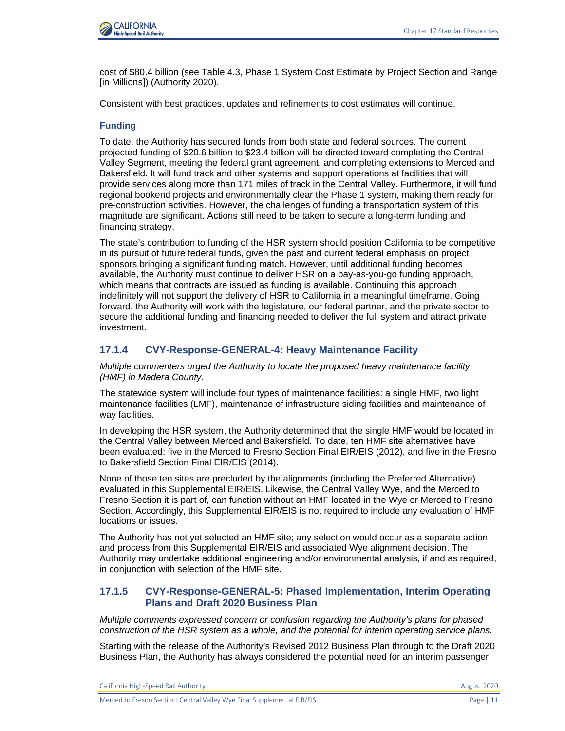

cost of \$80.4 billion (see Table 4.3, Phase 1 System Cost Estimate by Project Section and Range [in Millions]) (Authority 2020).

Consistent with best practices, updates and refinements to cost estimates will continue.

### **Funding**

To date, the Authority has secured funds from both state and federal sources. The current projected funding of \$20.6 billion to \$23.4 billion will be directed toward completing the Central Valley Segment, meeting the federal grant agreement, and completing extensions to Merced and Bakersfield. It will fund track and other systems and support operations at facilities that will provide services along more than 171 miles of track in the Central Valley. Furthermore, it will fund regional bookend projects and environmentally clear the Phase 1 system, making them ready for pre-construction activities. However, the challenges of funding a transportation system of this magnitude are significant. Actions still need to be taken to secure a long-term funding and financing strategy.

The state's contribution to funding of the HSR system should position California to be competitive in its pursuit of future federal funds, given the past and current federal emphasis on project sponsors bringing a significant funding match. However, until additional funding becomes available, the Authority must continue to deliver HSR on a pay-as-you-go funding approach, which means that contracts are issued as funding is available. Continuing this approach indefinitely will not support the delivery of HSR to California in a meaningful timeframe. Going forward, the Authority will work with the legislature, our federal partner, and the private sector to secure the additional funding and financing needed to deliver the full system and attract private investment.

# **17.1.4 CVY-Response-GENERAL-4: Heavy Maintenance Facility**

*Multiple commenters urged the Authority to locate the proposed heavy maintenance facility (HMF) in Madera County.* 

The statewide system will include four types of maintenance facilities: a single HMF, two light maintenance facilities (LMF), maintenance of infrastructure siding facilities and maintenance of way facilities.

In developing the HSR system, the Authority determined that the single HMF would be located in the Central Valley between Merced and Bakersfield. To date, ten HMF site alternatives have been evaluated: five in the Merced to Fresno Section Final EIR/EIS (2012), and five in the Fresno to Bakersfield Section Final EIR/EIS (2014).

None of those ten sites are precluded by the alignments (including the Preferred Alternative) evaluated in this Supplemental EIR/EIS. Likewise, the Central Valley Wye, and the Merced to Fresno Section it is part of, can function without an HMF located in the Wye or Merced to Fresno Section. Accordingly, this Supplemental EIR/EIS is not required to include any evaluation of HMF locations or issues.

The Authority has not yet selected an HMF site; any selection would occur as a separate action and process from this Supplemental EIR/EIS and associated Wye alignment decision. The Authority may undertake additional engineering and/or environmental analysis, if and as required, in conjunction with selection of the HMF site.

# **17.1.5 CVY-Response-GENERAL-5: Phased Implementation, Interim Operating Plans and Draft 2020 Business Plan**

*Multiple comments expressed concern or confusion regarding the Authority's plans for phased construction of the HSR system as a whole, and the potential for interim operating service plans.* 

Starting with the release of the Authority's Revised 2012 Business Plan through to the Draft 2020 Business Plan, the Authority has always considered the potential need for an interim passenger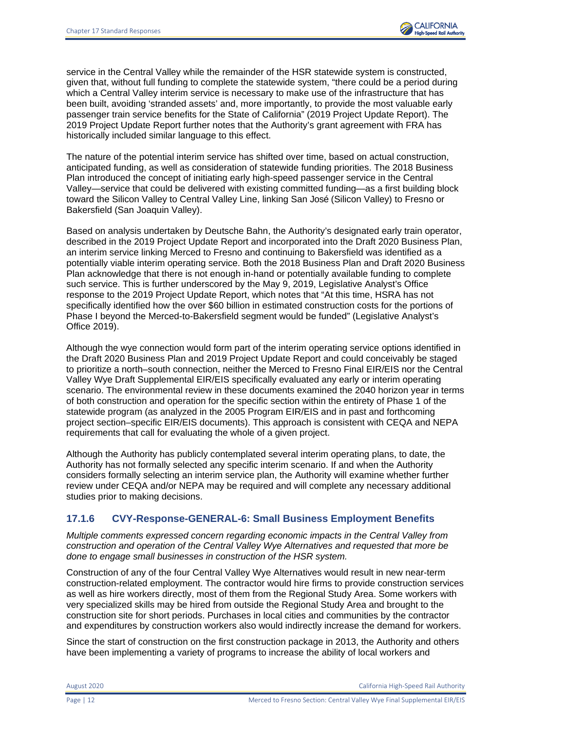

service in the Central Valley while the remainder of the HSR statewide system is constructed, given that, without full funding to complete the statewide system, "there could be a period during which a Central Valley interim service is necessary to make use of the infrastructure that has been built, avoiding 'stranded assets' and, more importantly, to provide the most valuable early passenger train service benefits for the State of California" (2019 Project Update Report). The 2019 Project Update Report further notes that the Authority's grant agreement with FRA has historically included similar language to this effect.

The nature of the potential interim service has shifted over time, based on actual construction, anticipated funding, as well as consideration of statewide funding priorities. The 2018 Business Plan introduced the concept of initiating early high-speed passenger service in the Central Valley—service that could be delivered with existing committed funding—as a first building block toward the Silicon Valley to Central Valley Line, linking San José (Silicon Valley) to Fresno or Bakersfield (San Joaquin Valley).

Based on analysis undertaken by Deutsche Bahn, the Authority's designated early train operator, described in the 2019 Project Update Report and incorporated into the Draft 2020 Business Plan, an interim service linking Merced to Fresno and continuing to Bakersfield was identified as a potentially viable interim operating service. Both the 2018 Business Plan and Draft 2020 Business Plan acknowledge that there is not enough in-hand or potentially available funding to complete such service. This is further underscored by the May 9, 2019, Legislative Analyst's Office response to the 2019 Project Update Report, which notes that "At this time, HSRA has not specifically identified how the over \$60 billion in estimated construction costs for the portions of Phase I beyond the Merced-to-Bakersfield segment would be funded" (Legislative Analyst's Office 2019).

Although the wye connection would form part of the interim operating service options identified in the Draft 2020 Business Plan and 2019 Project Update Report and could conceivably be staged to prioritize a north–south connection, neither the Merced to Fresno Final EIR/EIS nor the Central Valley Wye Draft Supplemental EIR/EIS specifically evaluated any early or interim operating scenario. The environmental review in these documents examined the 2040 horizon year in terms of both construction and operation for the specific section within the entirety of Phase 1 of the statewide program (as analyzed in the 2005 Program EIR/EIS and in past and forthcoming project section–specific EIR/EIS documents). This approach is consistent with CEQA and NEPA requirements that call for evaluating the whole of a given project.

Although the Authority has publicly contemplated several interim operating plans, to date, the Authority has not formally selected any specific interim scenario. If and when the Authority considers formally selecting an interim service plan, the Authority will examine whether further review under CEQA and/or NEPA may be required and will complete any necessary additional studies prior to making decisions.

# **17.1.6 CVY-Response-GENERAL-6: Small Business Employment Benefits**

*Multiple comments expressed concern regarding economic impacts in the Central Valley from construction and operation of the Central Valley Wye Alternatives and requested that more be done to engage small businesses in construction of the HSR system.* 

Construction of any of the four Central Valley Wye Alternatives would result in new near-term construction-related employment. The contractor would hire firms to provide construction services as well as hire workers directly, most of them from the Regional Study Area. Some workers with very specialized skills may be hired from outside the Regional Study Area and brought to the construction site for short periods. Purchases in local cities and communities by the contractor and expenditures by construction workers also would indirectly increase the demand for workers.

Since the start of construction on the first construction package in 2013, the Authority and others have been implementing a variety of programs to increase the ability of local workers and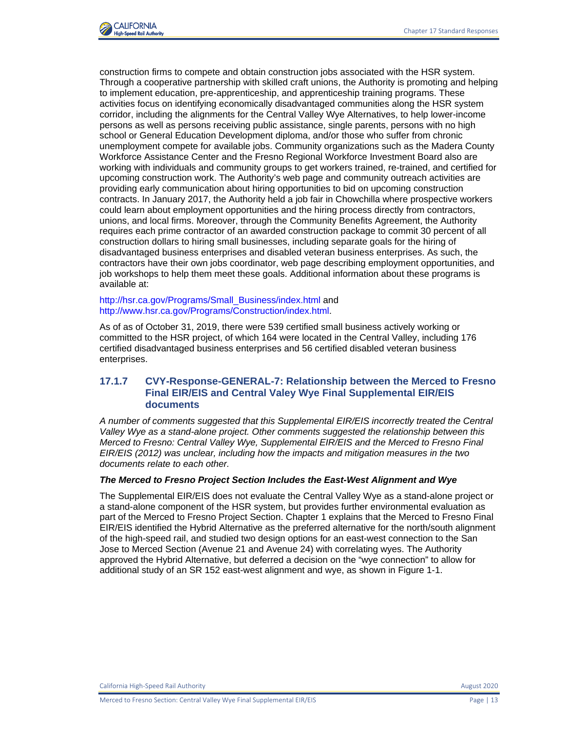

construction firms to compete and obtain construction jobs associated with the HSR system. Through a cooperative partnership with skilled craft unions, the Authority is promoting and helping to implement education, pre-apprenticeship, and apprenticeship training programs. These activities focus on identifying economically disadvantaged communities along the HSR system corridor, including the alignments for the Central Valley Wye Alternatives, to help lower-income persons as well as persons receiving public assistance, single parents, persons with no high school or General Education Development diploma, and/or those who suffer from chronic unemployment compete for available jobs. Community organizations such as the Madera County Workforce Assistance Center and the Fresno Regional Workforce Investment Board also are working with individuals and community groups to get workers trained, re-trained, and certified for upcoming construction work. The Authority's web page and community outreach activities are providing early communication about hiring opportunities to bid on upcoming construction contracts. In January 2017, the Authority held a job fair in Chowchilla where prospective workers could learn about employment opportunities and the hiring process directly from contractors, unions, and local firms. Moreover, through the Community Benefits Agreement, the Authority requires each prime contractor of an awarded construction package to commit 30 percent of all construction dollars to hiring small businesses, including separate goals for the hiring of disadvantaged business enterprises and disabled veteran business enterprises. As such, the contractors have their own jobs coordinator, web page describing employment opportunities, and job workshops to help them meet these goals. Additional information about these programs is available at:

#### [http://hsr.ca.gov/Programs/Small\\_Business/index.html](http://hsr.ca.gov/Programs/Small_Business/index.html) and [http://www.hsr.ca.gov/Programs/Construction/index.html.](http://www.hsr.ca.gov/Programs/Construction/index.html)

As of as of October 31, 2019, there were 539 certified small business actively working or committed to the HSR project, of which 164 were located in the Central Valley, including 176 certified disadvantaged business enterprises and 56 certified disabled veteran business enterprises.

### **17.1.7 CVY-Response-GENERAL-7: Relationship between the Merced to Fresno Final EIR/EIS and Central Valey Wye Final Supplemental EIR/EIS documents**

*A number of comments suggested that this Supplemental EIR/EIS incorrectly treated the Central Valley Wye as a stand-alone project. Other comments suggested the relationship between this Merced to Fresno: Central Valley Wye, Supplemental EIR/EIS and the Merced to Fresno Final EIR/EIS (2012) was unclear, including how the impacts and mitigation measures in the two documents relate to each other.* 

#### *The Merced to Fresno Project Section Includes the East-West Alignment and Wye*

The Supplemental EIR/EIS does not evaluate the Central Valley Wye as a stand-alone project or a stand-alone component of the HSR system, but provides further environmental evaluation as part of the Merced to Fresno Project Section. Chapter 1 explains that the Merced to Fresno Final EIR/EIS identified the Hybrid Alternative as the preferred alternative for the north/south alignment of the high-speed rail, and studied two design options for an east-west connection to the San Jose to Merced Section (Avenue 21 and Avenue 24) with correlating wyes. The Authority approved the Hybrid Alternative, but deferred a decision on the "wye connection" to allow for additional study of an SR 152 east-west alignment and wye, as shown in Figure 1-1.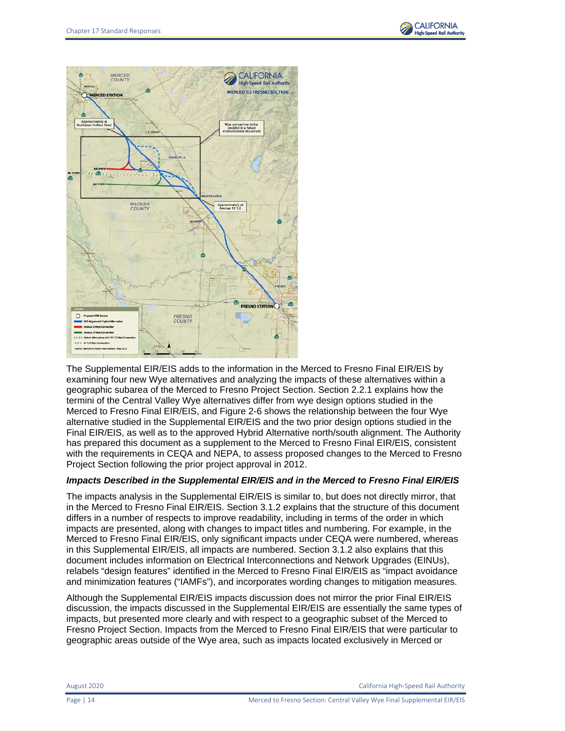



The Supplemental EIR/EIS adds to the information in the Merced to Fresno Final EIR/EIS by examining four new Wye alternatives and analyzing the impacts of these alternatives within a geographic subarea of the Merced to Fresno Project Section. Section 2.2.1 explains how the termini of the Central Valley Wye alternatives differ from wye design options studied in the Merced to Fresno Final EIR/EIS, and Figure 2-6 shows the relationship between the four Wye alternative studied in the Supplemental EIR/EIS and the two prior design options studied in the Final EIR/EIS, as well as to the approved Hybrid Alternative north/south alignment. The Authority has prepared this document as a supplement to the Merced to Fresno Final EIR/EIS, consistent with the requirements in CEQA and NEPA, to assess proposed changes to the Merced to Fresno Project Section following the prior project approval in 2012.

#### *Impacts Described in the Supplemental EIR/EIS and in the Merced to Fresno Final EIR/EIS*

The impacts analysis in the Supplemental EIR/EIS is similar to, but does not directly mirror, that in the Merced to Fresno Final EIR/EIS. Section 3.1.2 explains that the structure of this document differs in a number of respects to improve readability, including in terms of the order in which impacts are presented, along with changes to impact titles and numbering. For example, in the Merced to Fresno Final EIR/EIS, only significant impacts under CEQA were numbered, whereas in this Supplemental EIR/EIS, all impacts are numbered. Section 3.1.2 also explains that this document includes information on Electrical Interconnections and Network Upgrades (EINUs), relabels "design features" identified in the Merced to Fresno Final EIR/EIS as "impact avoidance and minimization features ("IAMFs"), and incorporates wording changes to mitigation measures.

Although the Supplemental EIR/EIS impacts discussion does not mirror the prior Final EIR/EIS discussion, the impacts discussed in the Supplemental EIR/EIS are essentially the same types of impacts, but presented more clearly and with respect to a geographic subset of the Merced to Fresno Project Section. Impacts from the Merced to Fresno Final EIR/EIS that were particular to geographic areas outside of the Wye area, such as impacts located exclusively in Merced or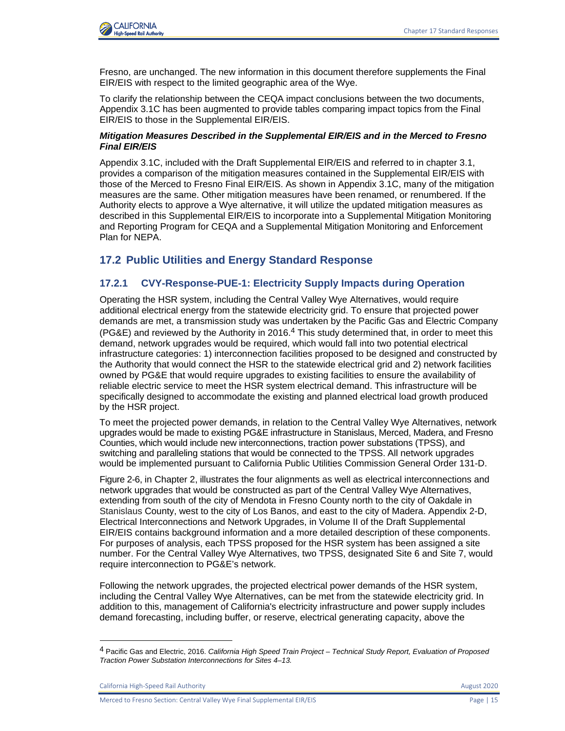

Fresno, are unchanged. The new information in this document therefore supplements the Final EIR/EIS with respect to the limited geographic area of the Wye.

To clarify the relationship between the CEQA impact conclusions between the two documents, Appendix 3.1C has been augmented to provide tables comparing impact topics from the Final EIR/EIS to those in the Supplemental EIR/EIS.

### *Mitigation Measures Described in the Supplemental EIR/EIS and in the Merced to Fresno Final EIR/EIS*

Appendix 3.1C, included with the Draft Supplemental EIR/EIS and referred to in chapter 3.1, provides a comparison of the mitigation measures contained in the Supplemental EIR/EIS with those of the Merced to Fresno Final EIR/EIS. As shown in Appendix 3.1C, many of the mitigation measures are the same. Other mitigation measures have been renamed, or renumbered. If the Authority elects to approve a Wye alternative, it will utilize the updated mitigation measures as described in this Supplemental EIR/EIS to incorporate into a Supplemental Mitigation Monitoring and Reporting Program for CEQA and a Supplemental Mitigation Monitoring and Enforcement Plan for NEPA.

# **17.2 Public Utilities and Energy Standard Response**

# **17.2.1 CVY-Response-PUE-1: Electricity Supply Impacts during Operation**

Operating the HSR system, including the Central Valley Wye Alternatives, would require additional electrical energy from the statewide electricity grid. To ensure that projected power demands are met, a transmission study was undertaken by the Pacific Gas and Electric Company (PG&E) and reviewed by the Authority in 2016.<sup>4</sup> This study determined that, in order to meet this demand, network upgrades would be required, which would fall into two potential electrical infrastructure categories: 1) interconnection facilities proposed to be designed and constructed by the Authority that would connect the HSR to the statewide electrical grid and 2) network facilities owned by PG&E that would require upgrades to existing facilities to ensure the availability of reliable electric service to meet the HSR system electrical demand. This infrastructure will be specifically designed to accommodate the existing and planned electrical load growth produced by the HSR project.

To meet the projected power demands, in relation to the Central Valley Wye Alternatives, network upgrades would be made to existing PG&E infrastructure in Stanislaus, Merced, Madera, and Fresno Counties, which would include new interconnections, traction power substations (TPSS), and switching and paralleling stations that would be connected to the TPSS. All network upgrades would be implemented pursuant to California Public Utilities Commission General Order 131-D.

Figure 2-6, in Chapter 2, illustrates the four alignments as well as electrical interconnections and network upgrades that would be constructed as part of the Central Valley Wye Alternatives, extending from south of the city of Mendota in Fresno County north to the city of Oakdale in Stanislaus County, west to the city of Los Banos, and east to the city of Madera. Appendix 2-D, Electrical Interconnections and Network Upgrades, in Volume II of the Draft Supplemental EIR/EIS contains background information and a more detailed description of these components. For purposes of analysis, each TPSS proposed for the HSR system has been assigned a site number. For the Central Valley Wye Alternatives, two TPSS, designated Site 6 and Site 7, would require interconnection to PG&E's network.

Following the network upgrades, the projected electrical power demands of the HSR system, including the Central Valley Wye Alternatives, can be met from the statewide electricity grid. In addition to this, management of California's electricity infrastructure and power supply includes demand forecasting, including buffer, or reserve, electrical generating capacity, above the

<sup>4</sup> Pacific Gas and Electric, 2016. *California High Speed Train Project – Technical Study Report, Evaluation of Proposed Traction Power Substation Interconnections for Sites 4–13.*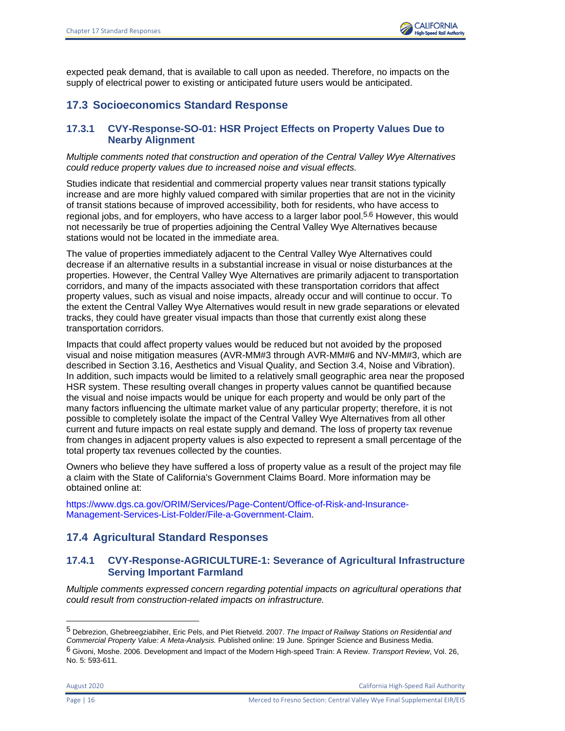expected peak demand, that is available to call upon as needed. Therefore, no impacts on the supply of electrical power to existing or anticipated future users would be anticipated.

# **17.3 Socioeconomics Standard Response**

# **17.3.1 CVY-Response-SO-01: HSR Project Effects on Property Values Due to Nearby Alignment**

*Multiple comments noted that construction and operation of the Central Valley Wye Alternatives could reduce property values due to increased noise and visual effects.* 

Studies indicate that residential and commercial property values near transit stations typically increase and are more highly valued compared with similar properties that are not in the vicinity of transit stations because of improved accessibility, both for residents, who have access to regional jobs, and for employers, who have access to a larger labor pool.<sup>5,6</sup> However, this would not necessarily be true of properties adjoining the Central Valley Wye Alternatives because stations would not be located in the immediate area.

The value of properties immediately adjacent to the Central Valley Wye Alternatives could decrease if an alternative results in a substantial increase in visual or noise disturbances at the properties. However, the Central Valley Wye Alternatives are primarily adjacent to transportation corridors, and many of the impacts associated with these transportation corridors that affect property values, such as visual and noise impacts, already occur and will continue to occur. To the extent the Central Valley Wye Alternatives would result in new grade separations or elevated tracks, they could have greater visual impacts than those that currently exist along these transportation corridors.

Impacts that could affect property values would be reduced but not avoided by the proposed visual and noise mitigation measures (AVR-MM#3 through AVR-MM#6 and NV-MM#3, which are described in Section 3.16, Aesthetics and Visual Quality, and Section 3.4, Noise and Vibration). In addition, such impacts would be limited to a relatively small geographic area near the proposed HSR system. These resulting overall changes in property values cannot be quantified because the visual and noise impacts would be unique for each property and would be only part of the many factors influencing the ultimate market value of any particular property; therefore, it is not possible to completely isolate the impact of the Central Valley Wye Alternatives from all other current and future impacts on real estate supply and demand. The loss of property tax revenue from changes in adjacent property values is also expected to represent a small percentage of the total property tax revenues collected by the counties.

Owners who believe they have suffered a loss of property value as a result of the project may file a claim with the State of California's Government Claims Board. More information may be obtained online at:

[https://www.dgs.ca.gov/ORIM/Services/Page-Content/Office-of-Risk-and-Insurance-](https://www.dgs.ca.gov/ORIM/Services/Page-Content/Office-of-Risk-and-Insurance-Management-Services-List-Folder/File-a-Government-Claim)[Management-Services-List-Folder/File-a-Government-Claim.](https://www.dgs.ca.gov/ORIM/Services/Page-Content/Office-of-Risk-and-Insurance-Management-Services-List-Folder/File-a-Government-Claim)

# **17.4 Agricultural Standard Responses**

# **17.4.1 CVY-Response-AGRICULTURE-1: Severance of Agricultural Infrastructure Serving Important Farmland**

*Multiple comments expressed concern regarding potential impacts on agricultural operations that could result from construction-related impacts on infrastructure.* 

<sup>5</sup> Debrezion, Ghebreegziabiher, Eric Pels, and Piet Rietveld. 2007. *The Impact of Railway Stations on Residential and Commercial Property Value: A Meta-Analysis.* Published online: 19 June. Springer Science and Business Media.

<sup>6</sup> Givoni, Moshe. 2006. Development and Impact of the Modern High-speed Train: A Review. *Transport Review*, Vol. 26, No. 5: 593-611.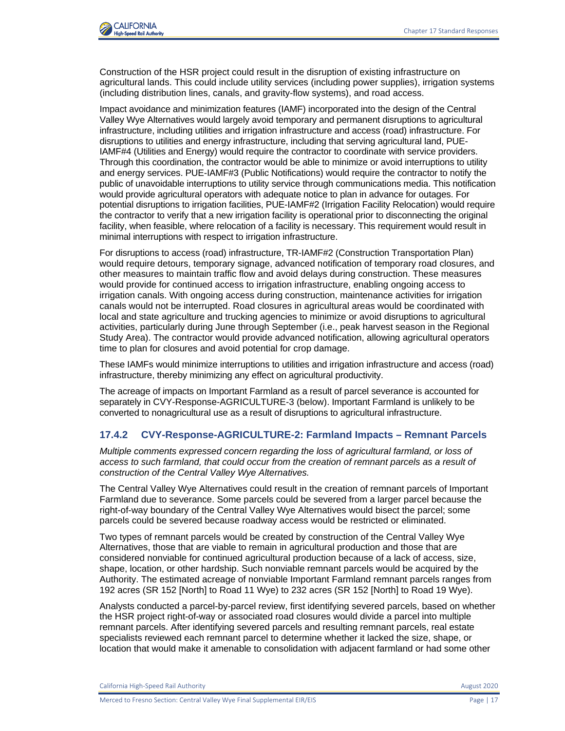

Construction of the HSR project could result in the disruption of existing infrastructure on agricultural lands. This could include utility services (including power supplies), irrigation systems (including distribution lines, canals, and gravity-flow systems), and road access.

Impact avoidance and minimization features (IAMF) incorporated into the design of the Central Valley Wye Alternatives would largely avoid temporary and permanent disruptions to agricultural infrastructure, including utilities and irrigation infrastructure and access (road) infrastructure. For disruptions to utilities and energy infrastructure, including that serving agricultural land, PUE-IAMF#4 (Utilities and Energy) would require the contractor to coordinate with service providers. Through this coordination, the contractor would be able to minimize or avoid interruptions to utility and energy services. PUE-IAMF#3 (Public Notifications) would require the contractor to notify the public of unavoidable interruptions to utility service through communications media. This notification would provide agricultural operators with adequate notice to plan in advance for outages. For potential disruptions to irrigation facilities, PUE-IAMF#2 (Irrigation Facility Relocation) would require the contractor to verify that a new irrigation facility is operational prior to disconnecting the original facility, when feasible, where relocation of a facility is necessary. This requirement would result in minimal interruptions with respect to irrigation infrastructure.

For disruptions to access (road) infrastructure, TR-IAMF#2 (Construction Transportation Plan) would require detours, temporary signage, advanced notification of temporary road closures, and other measures to maintain traffic flow and avoid delays during construction. These measures would provide for continued access to irrigation infrastructure, enabling ongoing access to irrigation canals. With ongoing access during construction, maintenance activities for irrigation canals would not be interrupted. Road closures in agricultural areas would be coordinated with local and state agriculture and trucking agencies to minimize or avoid disruptions to agricultural activities, particularly during June through September (i.e., peak harvest season in the Regional Study Area). The contractor would provide advanced notification, allowing agricultural operators time to plan for closures and avoid potential for crop damage.

These IAMFs would minimize interruptions to utilities and irrigation infrastructure and access (road) infrastructure, thereby minimizing any effect on agricultural productivity.

The acreage of impacts on Important Farmland as a result of parcel severance is accounted for separately in CVY-Response-AGRICULTURE-3 (below). Important Farmland is unlikely to be converted to nonagricultural use as a result of disruptions to agricultural infrastructure.

# **17.4.2 CVY-Response-AGRICULTURE-2: Farmland Impacts – Remnant Parcels**

*Multiple comments expressed concern regarding the loss of agricultural farmland, or loss of access to such farmland, that could occur from the creation of remnant parcels as a result of construction of the Central Valley Wye Alternatives.* 

The Central Valley Wye Alternatives could result in the creation of remnant parcels of Important Farmland due to severance. Some parcels could be severed from a larger parcel because the right-of-way boundary of the Central Valley Wye Alternatives would bisect the parcel; some parcels could be severed because roadway access would be restricted or eliminated.

Two types of remnant parcels would be created by construction of the Central Valley Wye Alternatives, those that are viable to remain in agricultural production and those that are considered nonviable for continued agricultural production because of a lack of access, size, shape, location, or other hardship. Such nonviable remnant parcels would be acquired by the Authority. The estimated acreage of nonviable Important Farmland remnant parcels ranges from 192 acres (SR 152 [North] to Road 11 Wye) to 232 acres (SR 152 [North] to Road 19 Wye).

Analysts conducted a parcel-by-parcel review, first identifying severed parcels, based on whether the HSR project right-of-way or associated road closures would divide a parcel into multiple remnant parcels. After identifying severed parcels and resulting remnant parcels, real estate specialists reviewed each remnant parcel to determine whether it lacked the size, shape, or location that would make it amenable to consolidation with adjacent farmland or had some other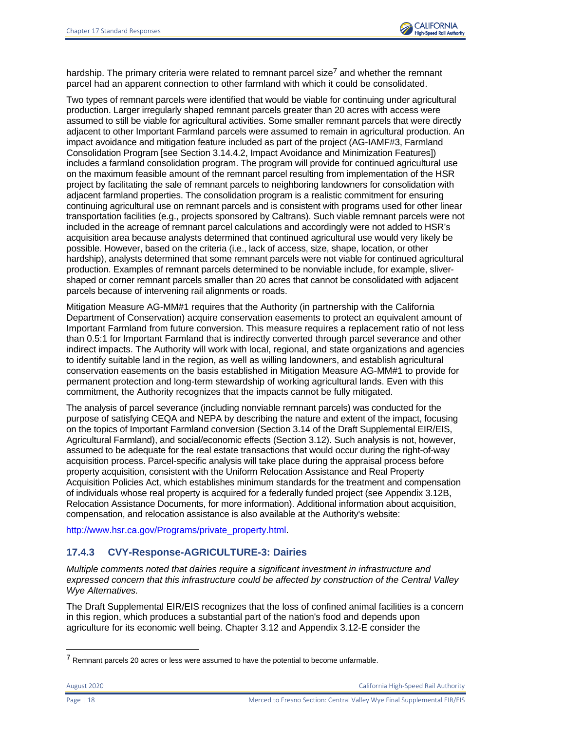

hardship. The primary criteria were related to remnant parcel size<sup>7</sup> and whether the remnant parcel had an apparent connection to other farmland with which it could be consolidated.

Two types of remnant parcels were identified that would be viable for continuing under agricultural production. Larger irregularly shaped remnant parcels greater than 20 acres with access were assumed to still be viable for agricultural activities. Some smaller remnant parcels that were directly adjacent to other Important Farmland parcels were assumed to remain in agricultural production. An impact avoidance and mitigation feature included as part of the project (AG-IAMF#3, Farmland Consolidation Program [see Section 3.14.4.2, Impact Avoidance and Minimization Features]) includes a farmland consolidation program. The program will provide for continued agricultural use on the maximum feasible amount of the remnant parcel resulting from implementation of the HSR project by facilitating the sale of remnant parcels to neighboring landowners for consolidation with adjacent farmland properties. The consolidation program is a realistic commitment for ensuring continuing agricultural use on remnant parcels and is consistent with programs used for other linear transportation facilities (e.g., projects sponsored by Caltrans). Such viable remnant parcels were not included in the acreage of remnant parcel calculations and accordingly were not added to HSR's acquisition area because analysts determined that continued agricultural use would very likely be possible. However, based on the criteria (i.e., lack of access, size, shape, location, or other hardship), analysts determined that some remnant parcels were not viable for continued agricultural production. Examples of remnant parcels determined to be nonviable include, for example, slivershaped or corner remnant parcels smaller than 20 acres that cannot be consolidated with adjacent parcels because of intervening rail alignments or roads.

Mitigation Measure AG-MM#1 requires that the Authority (in partnership with the California Department of Conservation) acquire conservation easements to protect an equivalent amount of Important Farmland from future conversion. This measure requires a replacement ratio of not less than 0.5:1 for Important Farmland that is indirectly converted through parcel severance and other indirect impacts. The Authority will work with local, regional, and state organizations and agencies to identify suitable land in the region, as well as willing landowners, and establish agricultural conservation easements on the basis established in Mitigation Measure AG-MM#1 to provide for permanent protection and long-term stewardship of working agricultural lands. Even with this commitment, the Authority recognizes that the impacts cannot be fully mitigated.

The analysis of parcel severance (including nonviable remnant parcels) was conducted for the purpose of satisfying CEQA and NEPA by describing the nature and extent of the impact, focusing on the topics of Important Farmland conversion (Section 3.14 of the Draft Supplemental EIR/EIS, Agricultural Farmland), and social/economic effects (Section 3.12). Such analysis is not, however, assumed to be adequate for the real estate transactions that would occur during the right-of-way acquisition process. Parcel-specific analysis will take place during the appraisal process before property acquisition, consistent with the Uniform Relocation Assistance and Real Property Acquisition Policies Act, which establishes minimum standards for the treatment and compensation of individuals whose real property is acquired for a federally funded project (see Appendix 3.12B, Relocation Assistance Documents, for more information). Additional information about acquisition, compensation, and relocation assistance is also available at the Authority's website:

[http://www.hsr.ca.gov/Programs/private\\_property.html.](http://www.hsr.ca.gov/Programs/private_property.html) 

# **17.4.3 CVY-Response-AGRICULTURE-3: Dairies**

*Multiple comments noted that dairies require a significant investment in infrastructure and expressed concern that this infrastructure could be affected by construction of the Central Valley Wye Alternatives.* 

The Draft Supplemental EIR/EIS recognizes that the loss of confined animal facilities is a concern in this region, which produces a substantial part of the nation's food and depends upon agriculture for its economic well being. Chapter 3.12 and Appendix 3.12-E consider the

<sup>7</sup> Remnant parcels 20 acres or less were assumed to have the potential to become unfarmable.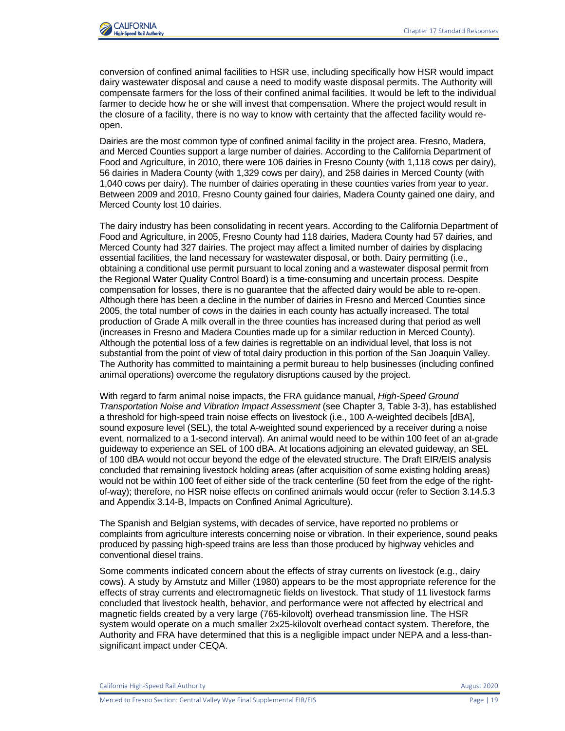

conversion of confined animal facilities to HSR use, including specifically how HSR would impact dairy wastewater disposal and cause a need to modify waste disposal permits. The Authority will compensate farmers for the loss of their confined animal facilities. It would be left to the individual farmer to decide how he or she will invest that compensation. Where the project would result in the closure of a facility, there is no way to know with certainty that the affected facility would reopen.

Dairies are the most common type of confined animal facility in the project area. Fresno, Madera, and Merced Counties support a large number of dairies. According to the California Department of Food and Agriculture, in 2010, there were 106 dairies in Fresno County (with 1,118 cows per dairy), 56 dairies in Madera County (with 1,329 cows per dairy), and 258 dairies in Merced County (with 1,040 cows per dairy). The number of dairies operating in these counties varies from year to year. Between 2009 and 2010, Fresno County gained four dairies, Madera County gained one dairy, and Merced County lost 10 dairies.

The dairy industry has been consolidating in recent years. According to the California Department of Food and Agriculture, in 2005, Fresno County had 118 dairies, Madera County had 57 dairies, and Merced County had 327 dairies. The project may affect a limited number of dairies by displacing essential facilities, the land necessary for wastewater disposal, or both. Dairy permitting (i.e., obtaining a conditional use permit pursuant to local zoning and a wastewater disposal permit from the Regional Water Quality Control Board) is a time-consuming and uncertain process. Despite compensation for losses, there is no guarantee that the affected dairy would be able to re-open. Although there has been a decline in the number of dairies in Fresno and Merced Counties since 2005, the total number of cows in the dairies in each county has actually increased. The total production of Grade A milk overall in the three counties has increased during that period as well (increases in Fresno and Madera Counties made up for a similar reduction in Merced County). Although the potential loss of a few dairies is regrettable on an individual level, that loss is not substantial from the point of view of total dairy production in this portion of the San Joaquin Valley. The Authority has committed to maintaining a permit bureau to help businesses (including confined animal operations) overcome the regulatory disruptions caused by the project.

With regard to farm animal noise impacts, the FRA guidance manual, *High-Speed Ground Transportation Noise and Vibration Impact Assessment* (see Chapter 3, Table 3-3), has established a threshold for high-speed train noise effects on livestock (i.e., 100 A-weighted decibels [dBA], sound exposure level (SEL), the total A-weighted sound experienced by a receiver during a noise event, normalized to a 1-second interval). An animal would need to be within 100 feet of an at-grade guideway to experience an SEL of 100 dBA. At locations adjoining an elevated guideway, an SEL of 100 dBA would not occur beyond the edge of the elevated structure. The Draft EIR/EIS analysis concluded that remaining livestock holding areas (after acquisition of some existing holding areas) would not be within 100 feet of either side of the track centerline (50 feet from the edge of the rightof-way); therefore, no HSR noise effects on confined animals would occur (refer to Section 3.14.5.3 and Appendix 3.14-B, Impacts on Confined Animal Agriculture).

The Spanish and Belgian systems, with decades of service, have reported no problems or complaints from agriculture interests concerning noise or vibration. In their experience, sound peaks produced by passing high-speed trains are less than those produced by highway vehicles and conventional diesel trains.

Some comments indicated concern about the effects of stray currents on livestock (e.g., dairy cows). A study by Amstutz and Miller (1980) appears to be the most appropriate reference for the effects of stray currents and electromagnetic fields on livestock. That study of 11 livestock farms concluded that livestock health, behavior, and performance were not affected by electrical and magnetic fields created by a very large (765-kilovolt) overhead transmission line. The HSR system would operate on a much smaller 2x25-kilovolt overhead contact system. Therefore, the Authority and FRA have determined that this is a negligible impact under NEPA and a less-thansignificant impact under CEQA.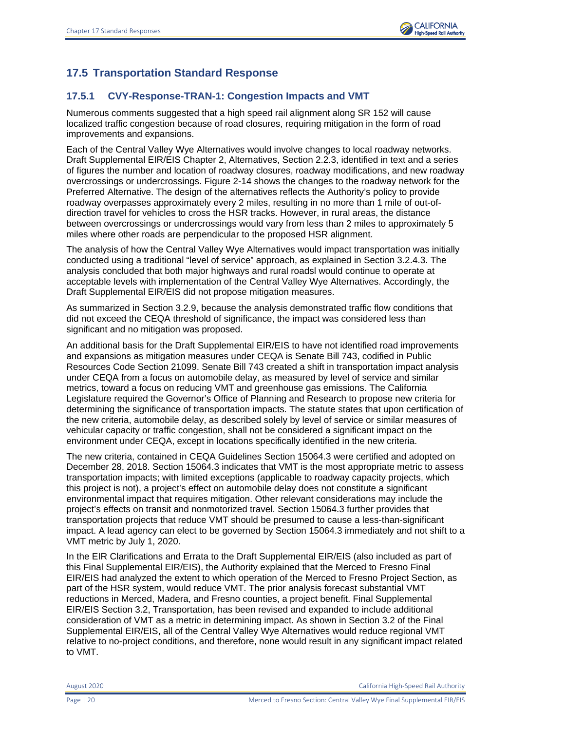# **17.5 Transportation Standard Response**

# **17.5.1 CVY-Response-TRAN-1: Congestion Impacts and VMT**

Numerous comments suggested that a high speed rail alignment along SR 152 will cause localized traffic congestion because of road closures, requiring mitigation in the form of road improvements and expansions.

Each of the Central Valley Wye Alternatives would involve changes to local roadway networks. Draft Supplemental EIR/EIS Chapter 2, Alternatives, Section 2.2.3, identified in text and a series of figures the number and location of roadway closures, roadway modifications, and new roadway overcrossings or undercrossings. Figure 2-14 shows the changes to the roadway network for the Preferred Alternative. The design of the alternatives reflects the Authority's policy to provide roadway overpasses approximately every 2 miles, resulting in no more than 1 mile of out-ofdirection travel for vehicles to cross the HSR tracks. However, in rural areas, the distance between overcrossings or undercrossings would vary from less than 2 miles to approximately 5 miles where other roads are perpendicular to the proposed HSR alignment.

The analysis of how the Central Valley Wye Alternatives would impact transportation was initially conducted using a traditional "level of service" approach, as explained in Section 3.2.4.3. The analysis concluded that both major highways and rural roadsl would continue to operate at acceptable levels with implementation of the Central Valley Wye Alternatives. Accordingly, the Draft Supplemental EIR/EIS did not propose mitigation measures.

As summarized in Section 3.2.9, because the analysis demonstrated traffic flow conditions that did not exceed the CEQA threshold of significance, the impact was considered less than significant and no mitigation was proposed.

An additional basis for the Draft Supplemental EIR/EIS to have not identified road improvements and expansions as mitigation measures under CEQA is Senate Bill 743, codified in Public Resources Code Section 21099. Senate Bill 743 created a shift in transportation impact analysis under CEQA from a focus on automobile delay, as measured by level of service and similar metrics, toward a focus on reducing VMT and greenhouse gas emissions. The California Legislature required the Governor's Office of Planning and Research to propose new criteria for determining the significance of transportation impacts. The statute states that upon certification of the new criteria, automobile delay, as described solely by level of service or similar measures of vehicular capacity or traffic congestion, shall not be considered a significant impact on the environment under CEQA, except in locations specifically identified in the new criteria.

The new criteria, contained in CEQA Guidelines Section 15064.3 were certified and adopted on December 28, 2018. Section 15064.3 indicates that VMT is the most appropriate metric to assess transportation impacts; with limited exceptions (applicable to roadway capacity projects, which this project is not), a project's effect on automobile delay does not constitute a significant environmental impact that requires mitigation. Other relevant considerations may include the project's effects on transit and nonmotorized travel. Section 15064.3 further provides that transportation projects that reduce VMT should be presumed to cause a less-than-significant impact. A lead agency can elect to be governed by Section 15064.3 immediately and not shift to a VMT metric by July 1, 2020.

In the EIR Clarifications and Errata to the Draft Supplemental EIR/EIS (also included as part of this Final Supplemental EIR/EIS), the Authority explained that the Merced to Fresno Final EIR/EIS had analyzed the extent to which operation of the Merced to Fresno Project Section, as part of the HSR system, would reduce VMT. The prior analysis forecast substantial VMT reductions in Merced, Madera, and Fresno counties, a project benefit. Final Supplemental EIR/EIS Section 3.2, Transportation, has been revised and expanded to include additional consideration of VMT as a metric in determining impact. As shown in Section 3.2 of the Final Supplemental EIR/EIS, all of the Central Valley Wye Alternatives would reduce regional VMT relative to no-project conditions, and therefore, none would result in any significant impact related to VMT.